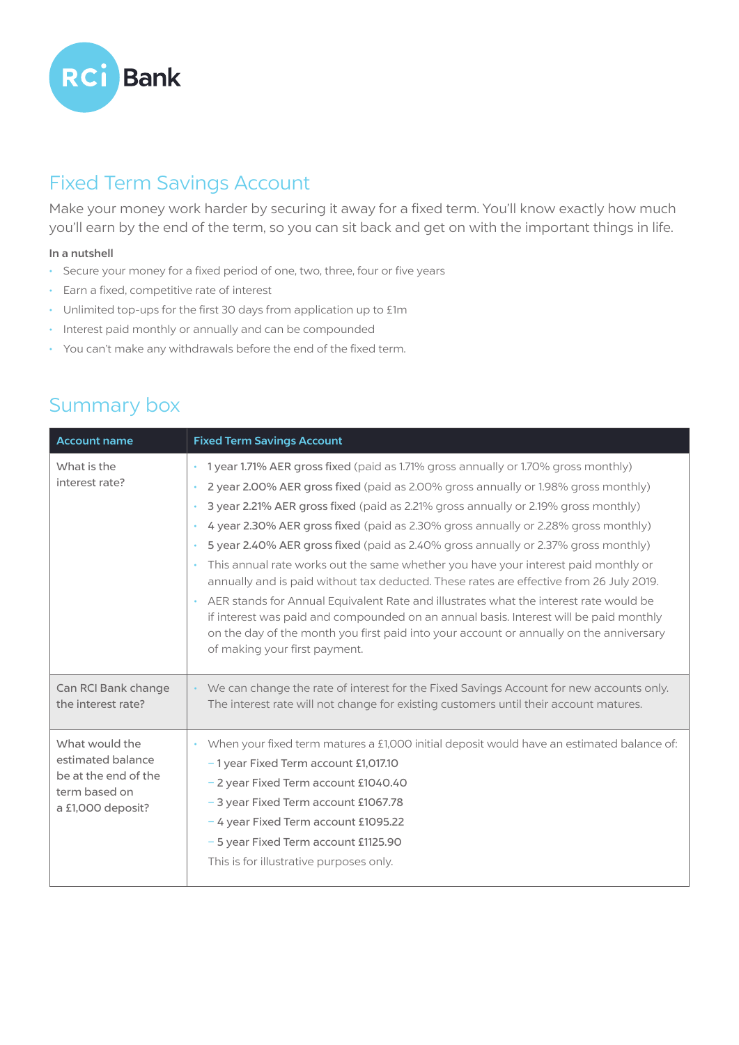

## Fixed Term Savings Account

Make your money work harder by securing it away for a fixed term. You'll know exactly how much you'll earn by the end of the term, so you can sit back and get on with the important things in life.

## In a nutshell

- Secure your money for a fixed period of one, two, three, four or five years
- Earn a fixed, competitive rate of interest
- Unlimited top-ups for the first 30 days from application up to £1m
- Interest paid monthly or annually and can be compounded
- You can't make any withdrawals before the end of the fixed term.

| <b>Account name</b>                                                                               | <b>Fixed Term Savings Account</b>                                                                                                                                                                                                                                                                                                                                                                                                                                                                                                                                                                                                                                                                                                                                                                                                                                                                                                                        |
|---------------------------------------------------------------------------------------------------|----------------------------------------------------------------------------------------------------------------------------------------------------------------------------------------------------------------------------------------------------------------------------------------------------------------------------------------------------------------------------------------------------------------------------------------------------------------------------------------------------------------------------------------------------------------------------------------------------------------------------------------------------------------------------------------------------------------------------------------------------------------------------------------------------------------------------------------------------------------------------------------------------------------------------------------------------------|
| What is the<br>interest rate?                                                                     | • 1 year 1.71% AER gross fixed (paid as 1.71% gross annually or 1.70% gross monthly)<br>2 year 2.00% AER gross fixed (paid as 2.00% gross annually or 1.98% gross monthly)<br>3 year 2.21% AER gross fixed (paid as 2.21% gross annually or 2.19% gross monthly)<br>$\bullet$<br>4 year 2.30% AER gross fixed (paid as 2.30% gross annually or 2.28% gross monthly)<br>5 year 2.40% AER gross fixed (paid as 2.40% gross annually or 2.37% gross monthly)<br>This annual rate works out the same whether you have your interest paid monthly or<br>annually and is paid without tax deducted. These rates are effective from 26 July 2019.<br>AER stands for Annual Equivalent Rate and illustrates what the interest rate would be<br>if interest was paid and compounded on an annual basis. Interest will be paid monthly<br>on the day of the month you first paid into your account or annually on the anniversary<br>of making your first payment. |
| Can RCI Bank change<br>the interest rate?                                                         | • We can change the rate of interest for the Fixed Savings Account for new accounts only.<br>The interest rate will not change for existing customers until their account matures.                                                                                                                                                                                                                                                                                                                                                                                                                                                                                                                                                                                                                                                                                                                                                                       |
| What would the<br>estimated balance<br>be at the end of the<br>term based on<br>a £1,000 deposit? | When your fixed term matures a £1,000 initial deposit would have an estimated balance of:<br>-1 year Fixed Term account £1,017.10<br>- 2 year Fixed Term account £1040.40<br>- 3 year Fixed Term account £1067.78<br>- 4 year Fixed Term account £1095.22<br>- 5 year Fixed Term account £1125.90<br>This is for illustrative purposes only.                                                                                                                                                                                                                                                                                                                                                                                                                                                                                                                                                                                                             |

## Summary box